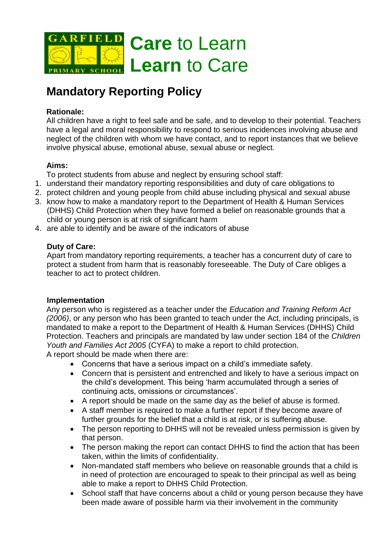

# **Mandatory Reporting Policy**

## **Rationale:**

All children have a right to feel safe and be safe, and to develop to their potential. Teachers have a legal and moral responsibility to respond to serious incidences involving abuse and neglect of the children with whom we have contact, and to report instances that we believe involve physical abuse, emotional abuse, sexual abuse or neglect.

## **Aims:**

To protect students from abuse and neglect by ensuring school staff:

- 1. understand their mandatory reporting responsibilities and duty of care obligations to
- 2. protect children and young people from child abuse including physical and sexual abuse
- 3. know how to make a mandatory report to the Department of Health & Human Services (DHHS) Child Protection when they have formed a belief on reasonable grounds that a child or young person is at risk of significant harm
- 4. are able to identify and be aware of the indicators of abuse

## **Duty of Care:**

Apart from mandatory reporting requirements, a teacher has a concurrent duty of care to protect a student from harm that is reasonably foreseeable. The Duty of Care obliges a teacher to act to protect children.

#### **Implementation**

Any person who is registered as a teacher under the *Education and Training Reform Act (2006)*, or any person who has been granted to teach under the Act, including principals, is mandated to make a report to the Department of Health & Human Services (DHHS) Child Protection. Teachers and principals are mandated by law under section 184 of the *Children Youth and Families Act 2005* (CYFA) to make a report to child protection.

A report should be made when there are:

- Concerns that have a serious impact on a child's immediate safety.
- Concern that is persistent and entrenched and likely to have a serious impact on the child's development. This being 'harm accumulated through a series of continuing acts, omissions or circumstances'.
- A report should be made on the same day as the belief of abuse is formed.
- A staff member is required to make a further report if they become aware of further grounds for the belief that a child is at risk, or is suffering abuse.
- The person reporting to DHHS will not be revealed unless permission is given by that person.
- The person making the report can contact DHHS to find the action that has been taken, within the limits of confidentiality.
- Non-mandated staff members who believe on reasonable grounds that a child is in need of protection are encouraged to speak to their principal as well as being able to make a report to DHHS Child Protection.
- School staff that have concerns about a child or young person because they have been made aware of possible harm via their involvement in the community